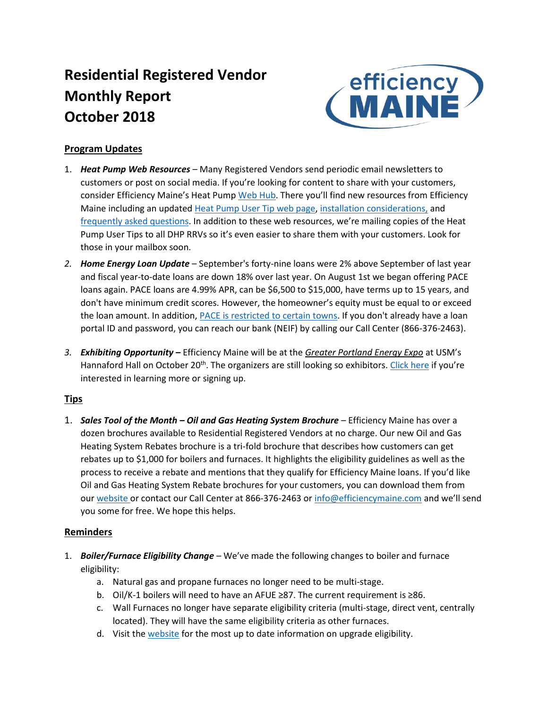# **Residential Registered Vendor Monthly Report October 2018**



# **Program Updates**

- 1. *Heat Pump Web Resources* Many Registered Vendors send periodic email newsletters to customers or post on social media. If you're looking for content to share with your customers, consider Efficiency Maine's Heat Pump [Web Hub](https://www.efficiencymaine.com/about-heat-pumps/). There you'll find new resources from Efficiency Maine including an update[d Heat Pump User Tip web page,](https://www.efficiencymaine.com/heat-pump-user-tips/) [installation considerations,](https://www.efficiencymaine.com/at-home/ductless-heat-pump-installation-considerations/) and [frequently asked questions](https://www.efficiencymaine.com/heat-pumps-faq/). In addition to these web resources, we're mailing copies of the Heat Pump User Tips to all DHP RRVs so it's even easier to share them with your customers. Look for those in your mailbox soon.
- *2. Home Energy Loan Update* September's forty-nine loans were 2% above September of last year and fiscal year-to-date loans are down 18% over last year. On August 1st we began offering PACE loans again. PACE loans are 4.99% APR, can be \$6,500 to \$15,000, have terms up to 15 years, and don't have minimum credit scores. However, the homeowner's equity must be equal to or exceed the loan amount. In addition, [PACE is restricted to certain towns.](https://www.efficiencymaine.com/docs/List-of-PACE-municipalities1.pdf) If you don't already have a loan portal ID and password, you can reach our bank (NEIF) by calling our Call Center (866-376-2463).
- *3. Exhibiting Opportunity –* Efficiency Maine will be at the *Greater Portland Energy Expo* at USM's Hannaford Hall on October 20<sup>th</sup>. The organizers are still looking so exhibitors. [Click here](https://docs.google.com/forms/d/e/1FAIpQLScudMYQ8918wchEhxBv7CCVc-00NpeBBcSovHaQwYln7dwqhw/viewform) if you're interested in learning more or signing up.

# **Tips**

1. *Sales Tool of the Month – Oil and Gas Heating System Brochure* – Efficiency Maine has over a dozen brochures available to Residential Registered Vendors at no charge. Our new Oil and Gas Heating System Rebates brochure is a tri-fold brochure that describes how customers can get rebates up to \$1,000 for boilers and furnaces. It highlights the eligibility guidelines as well as the process to receive a rebate and mentions that they qualify for Efficiency Maine loans. If you'd like Oil and Gas Heating System Rebate brochures for your customers, you can download them from our [website](https://www.efficiencymaine.com/docs/EM-Oil-and-Gas-Brochure.pdf) or contact our Call Center at 866-376-2463 or [info@efficiencymaine.com](mailto:info@efficiencymaine.com) and we'll send you some for free. We hope this helps.

# **Reminders**

- 1. *Boiler/Furnace Eligibility Change*  We've made the following changes to boiler and furnace eligibility:
	- a. Natural gas and propane furnaces no longer need to be multi-stage.
	- b. Oil/K-1 boilers will need to have an AFUE ≥87. The current requirement is ≥86.
	- c. Wall Furnaces no longer have separate eligibility criteria (multi-stage, direct vent, centrally located). They will have the same eligibility criteria as other furnaces.
	- d. Visit the [website](https://www.efficiencymaine.com/at-home/boilers-and-furnaces/) for the most up to date information on upgrade eligibility.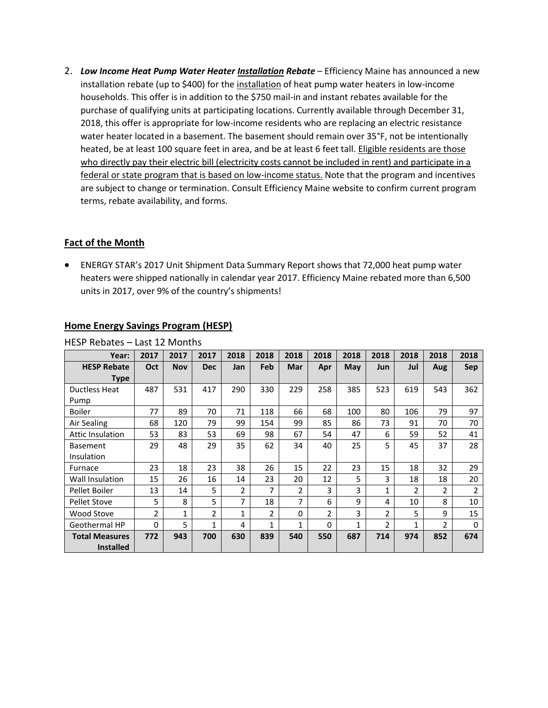2. *Low Income Heat Pump Water Heater Installation Rebate* – Efficiency Maine has announced a new installation rebate (up to \$400) for the installation of heat pump water heaters in low-income households. This offer is in addition to the \$750 mail-in and instant rebates available for the purchase of qualifying units at participating locations. Currently available through December 31, 2018, this offer is appropriate for low-income residents who are replacing an electric resistance water heater located in a basement. The basement should remain over 35°F, not be intentionally heated, be at least 100 square feet in area, and be at least 6 feet tall. Eligible residents are those who directly pay their electric bill (electricity costs cannot be included in rent) and participate in a federal or state program that is based on low-income status. Note that the program and incentives are subject to change or termination. Consult Efficiency Maine website to confirm current program terms, rebate availability, and forms.

# **Fact of the Month**

• ENERGY STAR's 2017 Unit Shipment Data Summary Report shows that 72,000 heat pump water heaters were shipped nationally in calendar year 2017. Efficiency Maine rebated more than 6,500 units in 2017, over 9% of the country's shipments!

| HESP Rebates – Last 12 Months |                |            |                |              |                |              |                |              |                |               |                |          |
|-------------------------------|----------------|------------|----------------|--------------|----------------|--------------|----------------|--------------|----------------|---------------|----------------|----------|
| Year:                         | 2017           | 2017       | 2017           | 2018         | 2018           | 2018         | 2018           | 2018         | 2018           | 2018          | 2018           | 2018     |
| <b>HESP Rebate</b>            | Oct            | <b>Nov</b> | <b>Dec</b>     | Jan          | Feb            | Mar          | Apr            | May          | Jun            | Jul           | Aug            | Sep      |
| Type                          |                |            |                |              |                |              |                |              |                |               |                |          |
| <b>Ductless Heat</b>          | 487            | 531        | 417            | 290          | 330            | 229          | 258            | 385          | 523            | 619           | 543            | 362      |
| Pump                          |                |            |                |              |                |              |                |              |                |               |                |          |
| <b>Boiler</b>                 | 77             | 89         | 70             | 71           | 118            | 66           | 68             | 100          | 80             | 106           | 79             | 97       |
| Air Sealing                   | 68             | 120        | 79             | 99           | 154            | 99           | 85             | 86           | 73             | 91            | 70             | 70       |
| <b>Attic Insulation</b>       | 53             | 83         | 53             | 69           | 98             | 67           | 54             | 47           | 6              | 59            | 52             | 41       |
| <b>Basement</b>               | 29             | 48         | 29             | 35           | 62             | 34           | 40             | 25           | 5              | 45            | 37             | 28       |
| Insulation                    |                |            |                |              |                |              |                |              |                |               |                |          |
| Furnace                       | 23             | 18         | 23             | 38           | 26             | 15           | 22             | 23           | 15             | 18            | 32             | 29       |
| Wall Insulation               | 15             | 26         | 16             | 14           | 23             | 20           | 12             | 5            | 3              | 18            | 18             | 20       |
| Pellet Boiler                 | 13             | 14         | 5              | 2            | 7              | 2            | 3              | 3            | $\mathbf{1}$   | $\mathfrak z$ | $\overline{2}$ | 2        |
| <b>Pellet Stove</b>           | 5              | 8          | 5              | 7            | 18             | 7            | 6              | 9            | 4              | 10            | 8              | 10       |
| Wood Stove                    | $\overline{2}$ | 1          | $\overline{2}$ | $\mathbf{1}$ | $\overline{2}$ | $\Omega$     | $\overline{2}$ | 3            | $\overline{2}$ | 5             | 9              | 15       |
| Geothermal HP                 | 0              | 5          | $\mathbf{1}$   | 4            | $\mathbf{1}$   | $\mathbf{1}$ | 0              | $\mathbf{1}$ | $\overline{2}$ | 1             | $\overline{2}$ | $\Omega$ |
| <b>Total Measures</b>         | 772            | 943        | 700            | 630          | 839            | 540          | 550            | 687          | 714            | 974           | 852            | 674      |
| <b>Installed</b>              |                |            |                |              |                |              |                |              |                |               |                |          |

### **Home Energy Savings Program (HESP)**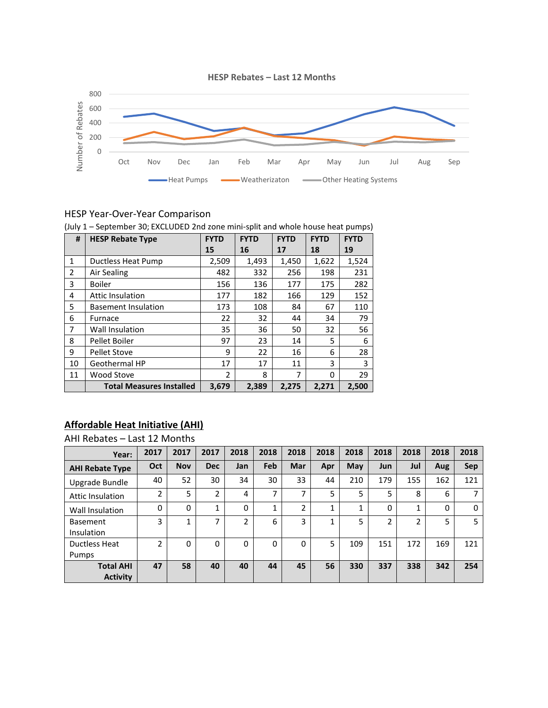

# HESP Year-Over-Year Comparison

| #            | <b>HESP Rebate Type</b>         | <b>FYTD</b>    | <b>FYTD</b> | <b>FYTD</b> | <b>FYTD</b> | <b>FYTD</b> |
|--------------|---------------------------------|----------------|-------------|-------------|-------------|-------------|
|              |                                 | 15             | 16          | 17          | 18          | 19          |
| $\mathbf{1}$ | Ductless Heat Pump              | 2,509          | 1,493       | 1,450       | 1,622       | 1,524       |
| 2            | Air Sealing                     | 482            | 332         | 256         | 198         | 231         |
| 3            | <b>Boiler</b>                   | 156            | 136         | 177         | 175         | 282         |
| 4            | <b>Attic Insulation</b>         | 177            | 182         | 166         | 129         | 152         |
| 5            | <b>Basement Insulation</b>      | 173            | 108         | 84          | 67          | 110         |
| 6            | Furnace                         | 22             | 32          | 44          | 34          | 79          |
| 7            | Wall Insulation                 | 35             | 36          | 50          | 32          | 56          |
| 8            | Pellet Boiler                   | 97             | 23          | 14          | 5           | 6           |
| 9            | <b>Pellet Stove</b>             | 9              | 22          | 16          | 6           | 28          |
| 10           | Geothermal HP                   | 17             | 17          | 11          | 3           | 3           |
| 11           | Wood Stove                      | $\overline{2}$ | 8           | 7           | 0           | 29          |
|              | <b>Total Measures Installed</b> | 3,679          | 2,389       | 2,275       | 2,271       | 2,500       |

#### (July 1 – September 30; EXCLUDED 2nd zone mini-split and whole house heat pumps)

# **Affordable Heat Initiative (AHI)**

AHI Rebates – Last 12 Months

| Year:                               | 2017 | 2017       | 2017           | 2018     | 2018     | 2018 | 2018 | 2018       | 2018 | 2018 | 2018 | 2018       |
|-------------------------------------|------|------------|----------------|----------|----------|------|------|------------|------|------|------|------------|
| <b>AHI Rebate Type</b>              | Oct  | <b>Nov</b> | <b>Dec</b>     | Jan      | Feb      | Mar  | Apr  | <b>May</b> | Jun  | Jul  | Aug  | <b>Sep</b> |
| Upgrade Bundle                      | 40   | 52         | 30             | 34       | 30       | 33   | 44   | 210        | 179  | 155  | 162  | 121        |
| <b>Attic Insulation</b>             | ำ    | 5          | $\overline{2}$ | 4        | ⇁        | ⇁    | 5    | 5          | 5    | 8    | 6    | ⇁          |
| Wall Insulation                     | 0    | 0          | 1              | 0        | 1        | 2    | 1    |            | 0    | 1    | 0    | $\Omega$   |
| <b>Basement</b><br>Insulation       | 3    | 1          | ⇁              | 2        | 6        | 3    | 1    | 5          | 2    | 2    | 5    | 5          |
| Ductless Heat<br>Pumps              | 2    | $\Omega$   | $\Omega$       | $\Omega$ | $\Omega$ | 0    | 5    | 109        | 151  | 172  | 169  | 121        |
| <b>Total AHI</b><br><b>Activity</b> | 47   | 58         | 40             | 40       | 44       | 45   | 56   | 330        | 337  | 338  | 342  | 254        |